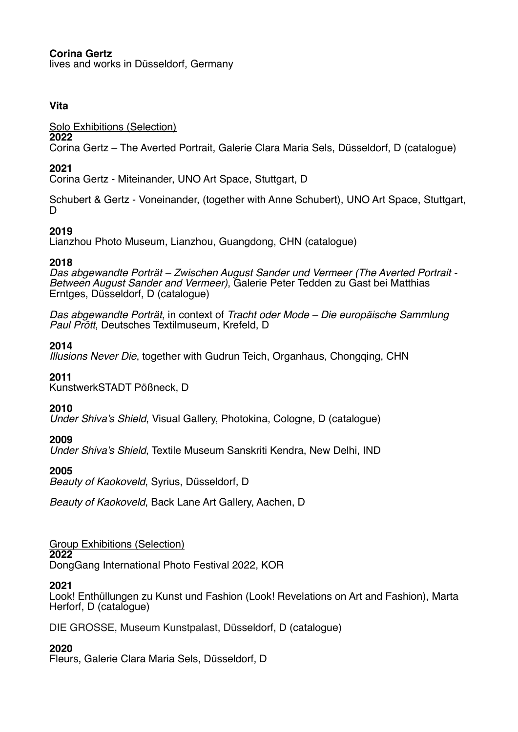# **Corina Gertz**

lives and works in Düsseldorf, Germany

## **Vita**

Solo Exhibitions (Selection)

## **2022**

Corina Gertz – The Averted Portrait, Galerie Clara Maria Sels, Düsseldorf, D (catalogue)

# **2021**

Corina Gertz - Miteinander, UNO Art Space, Stuttgart, D

Schubert & Gertz - Voneinander, (together with Anne Schubert), UNO Art Space, Stuttgart, D

# **2019**

Lianzhou Photo Museum, Lianzhou, Guangdong, CHN (catalogue)

## **2018**

*Das abgewandte Porträt – Zwischen August Sander und Vermeer (The Averted Portrait - Between August Sander and Vermeer)*, Galerie Peter Tedden zu Gast bei Matthias Erntges, Düsseldorf, D (catalogue)

*Das abgewandte Porträt*, in context of *Tracht oder Mode – Die europäische Sammlung Paul Prött*, Deutsches Textilmuseum, Krefeld, D

# **2014**

*Illusions Never Die*, together with Gudrun Teich, Organhaus, Chongqing, CHN

### **2011**

KunstwerkSTADT Pößneck, D

# **2010**

*Under Shiva's Shield*, Visual Gallery, Photokina, Cologne, D (catalogue)

# **2009**

*Under Shiva's Shield*, Textile Museum Sanskriti Kendra, New Delhi, IND

# **2005**

*Beauty of Kaokoveld*, Syrius, Düsseldorf, D

*Beauty of Kaokoveld*, Back Lane Art Gallery, Aachen, D

Group Exhibitions (Selection) **2022**

DongGang International Photo Festival 2022, KOR

### **2021**

Look! Enthüllungen zu Kunst und Fashion (Look! Revelations on Art and Fashion), Marta Herforf, D (catalogue)

DIE GROSSE, Museum Kunstpalast, Düsseldorf, D (catalogue)

# **2020**

Fleurs, Galerie Clara Maria Sels, Düsseldorf, D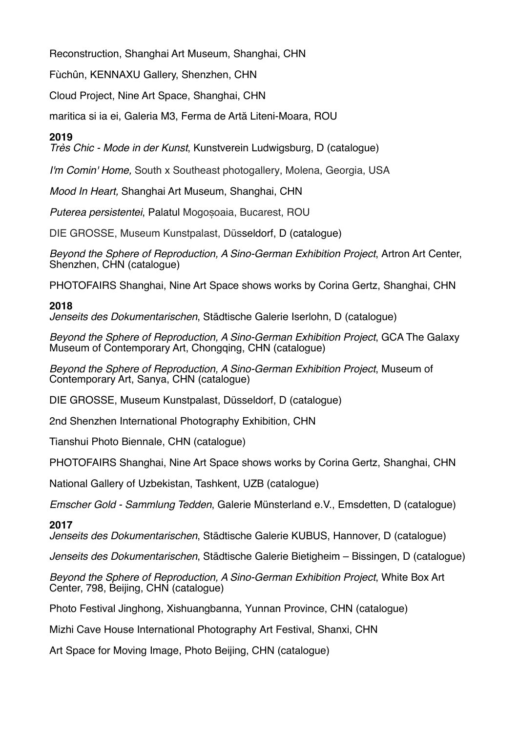Reconstruction, Shanghai Art Museum, Shanghai, CHN

Fùchûn, KENNAXU Gallery, Shenzhen, CHN

Cloud Project, Nine Art Space, Shanghai, CHN

maritica si ia ei, Galeria M3, Ferma de Artă Liteni-Moara, ROU

# **2019**

*Très Chic - Mode in der Kunst*, Kunstverein Ludwigsburg, D (catalogue)

*I'm Comin' Home,* South x Southeast photogallery, Molena, Georgia, USA

*Mood In Heart,* Shanghai Art Museum, Shanghai, CHN

*Puterea persistentei*, Palatul Mogoșoaia, Bucarest, ROU

DIE GROSSE, Museum Kunstpalast, Düsseldorf, D (catalogue)

*Beyond the Sphere of Reproduction, A Sino-German Exhibition Project*, Artron Art Center, Shenzhen, CHN (catalogue)

PHOTOFAIRS Shanghai, Nine Art Space shows works by Corina Gertz, Shanghai, CHN

### **2018**

*Jenseits des Dokumentarischen*, Städtische Galerie Iserlohn, D (catalogue)

*Beyond the Sphere of Reproduction, A Sino-German Exhibition Project*, GCA The Galaxy Museum of Contemporary Art, Chongqing, CHN (catalogue)

*Beyond the Sphere of Reproduction, A Sino-German Exhibition Project*, Museum of Contemporary Art, Sanya, CHN (catalogue)

DIE GROSSE, Museum Kunstpalast, Düsseldorf, D (catalogue)

2nd Shenzhen International Photography Exhibition, CHN

Tianshui Photo Biennale, CHN (catalogue)

PHOTOFAIRS Shanghai, Nine Art Space shows works by Corina Gertz, Shanghai, CHN

National Gallery of Uzbekistan, Tashkent, UZB (catalogue)

*Emscher Gold - Sammlung Tedden*, Galerie Münsterland e.V., Emsdetten, D (catalogue)

### **2017**

*Jenseits des Dokumentarischen*, Städtische Galerie KUBUS, Hannover, D (catalogue)

*Jenseits des Dokumentarischen*, Städtische Galerie Bietigheim – Bissingen, D (catalogue)

*Beyond the Sphere of Reproduction, A Sino-German Exhibition Project*, White Box Art Center, 798, Beijing, CHN (catalogue)

Photo Festival Jinghong, Xishuangbanna, Yunnan Province, CHN (catalogue)

Mizhi Cave House International Photography Art Festival, Shanxi, CHN

Art Space for Moving Image, Photo Beijing, CHN (catalogue)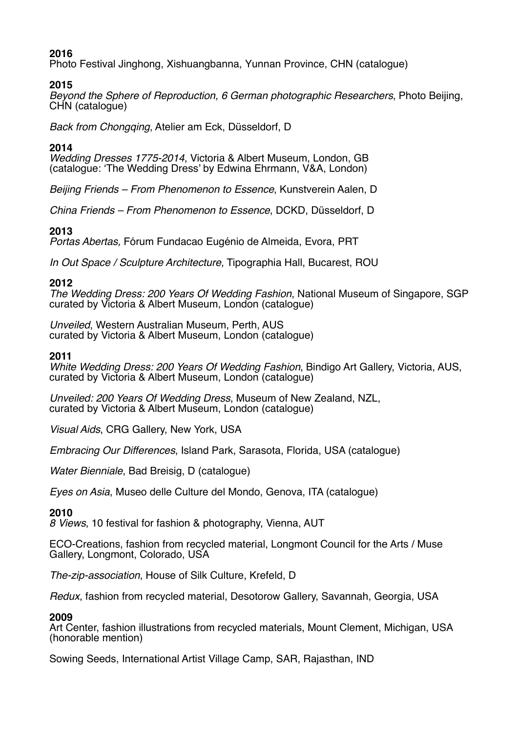# **2016**

Photo Festival Jinghong, Xishuangbanna, Yunnan Province, CHN (catalogue)

## **2015**

*Beyond the Sphere of Reproduction, 6 German photographic Researchers*, Photo Beijing, CHN (catalogue)

*Back from Chongqing*, Atelier am Eck, Düsseldorf, D

# **2014**

*Wedding Dresses 1775-2014*, Victoria & Albert Museum, London, GB (catalogue: 'The Wedding Dress' by Edwina Ehrmann, V&A, London)

*Beijing Friends – From Phenomenon to Essence*, Kunstverein Aalen, D

*China Friends – From Phenomenon to Essence*, DCKD, Düsseldorf, D

## **2013**

*Portas Abertas,* Fórum Fundacao Eugénio de Almeida, Evora, PRT

*In Out Space / Sculpture Architecture*, Tipographia Hall, Bucarest, ROU

## **2012**

*The Wedding Dress: 200 Years Of Wedding Fashion*, National Museum of Singapore, SGP curated by Victoria & Albert Museum, London (catalogue)

*Unveiled*, Western Australian Museum, Perth, AUS curated by Victoria & Albert Museum, London (catalogue)

#### **2011**

*White Wedding Dress: 200 Years Of Wedding Fashion*, Bindigo Art Gallery, Victoria, AUS, curated by Victoria & Albert Museum, London (catalogue)

*Unveiled: 200 Years Of Wedding Dress*, Museum of New Zealand, NZL, curated by Victoria & Albert Museum, London (catalogue)

*Visual Aids*, CRG Gallery, New York, USA

*Embracing Our Differences*, Island Park, Sarasota, Florida, USA (catalogue)

*Water Bienniale*, Bad Breisig, D (catalogue)

*Eyes on Asia*, Museo delle Culture del Mondo, Genova, ITA (catalogue)

### **2010**

*8 Views*, 10 festival for fashion & photography, Vienna, AUT

ECO-Creations, fashion from recycled material, Longmont Council for the Arts / Muse Gallery, Longmont, Colorado, USA

*The-zip-association*, House of Silk Culture, Krefeld, D

*Redux*, fashion from recycled material, Desotorow Gallery, Savannah, Georgia, USA

### **2009**

Art Center, fashion illustrations from recycled materials, Mount Clement, Michigan, USA (honorable mention)

Sowing Seeds, International Artist Village Camp, SAR, Rajasthan, IND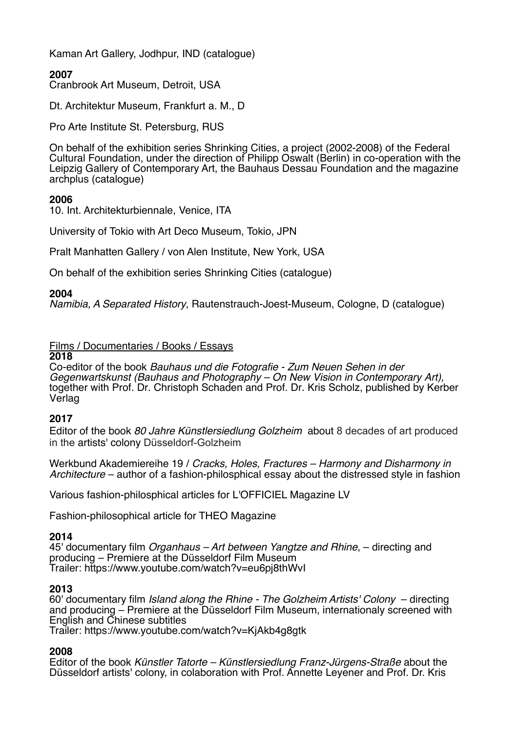Kaman Art Gallery, Jodhpur, IND (catalogue)

# **2007**

Cranbrook Art Museum, Detroit, USA

Dt. Architektur Museum, Frankfurt a. M., D

Pro Arte Institute St. Petersburg, RUS

On behalf of the exhibition series Shrinking Cities, a project (2002-2008) of the Federal Cultural Foundation, under the direction of Philipp Oswalt (Berlin) in co-operation with the Leipzig Gallery of Contemporary Art, the Bauhaus Dessau Foundation and the magazine archplus (catalogue)

### **2006**

10. Int. Architekturbiennale, Venice, ITA

University of Tokio with Art Deco Museum, Tokio, JPN

Pralt Manhatten Gallery / von Alen Institute, New York, USA

On behalf of the exhibition series Shrinking Cities (catalogue)

#### **2004**

*Namibia, A Separated History*, Rautenstrauch-Joest-Museum, Cologne, D (catalogue)

## Films / Documentaries / Books / Essays

#### **2018**

Co-editor of the book *Bauhaus und die Fotografie - Zum Neuen Sehen in der Gegenwartskunst (Bauhaus and Photography – On New Vision in Contemporary Art),*  together with Prof. Dr. Christoph Schaden and Prof. Dr. Kris Scholz, published by Kerber Verlag

#### **2017**

Editor of the book *80 Jahre Künstlersiedlung Golzheim* about 8 decades of art produced in the artists' colony Düsseldorf-Golzheim

Werkbund Akademiereihe 19 / *Cracks, Holes, Fractures – Harmony and Disharmony in Architecture* – author of a fashion-philosphical essay about the distressed style in fashion

Various fashion-philosphical articles for L'OFFICIEL Magazine LV

Fashion-philosophical article for THEO Magazine

#### **2014**

45' documentary film *Organhaus – Art between Yangtze and Rhine*, – directing and producing – Premiere at the Düsseldorf Film Museum Trailer: https://www.youtube.com/watch?v=eu6pj8thWvI

#### **2013**

60' documentary film *Island along the Rhine - The Golzheim Artists' Colony* – directing and producing – Premiere at the Düsseldorf Film Museum, internationaly screened with English and Chinese subtitles

Trailer: https://www.youtube.com/watch?v=KjAkb4g8gtk

#### **2008**

Editor of the book *Künstler Tatorte – Künstlersiedlung Franz-Jürgens-Straße* about the Düsseldorf artists' colony, in colaboration with Prof. Annette Leyener and Prof. Dr. Kris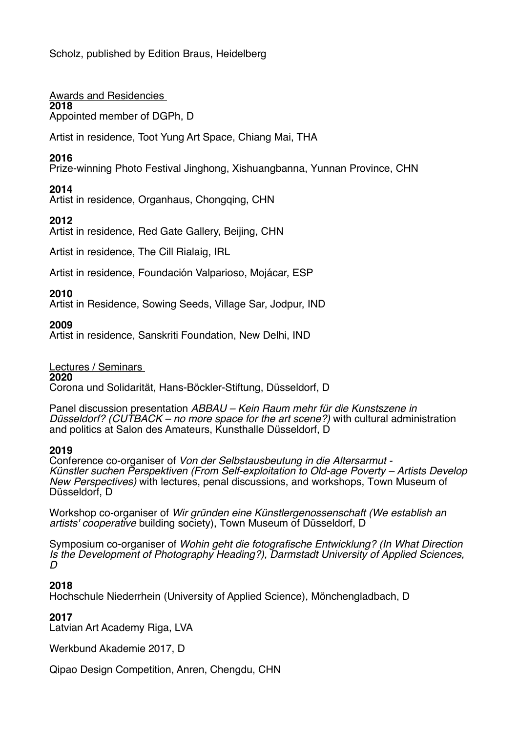Scholz, published by Edition Braus, Heidelberg

Awards and Residencies **2018** 

Appointed member of DGPh, D

Artist in residence, Toot Yung Art Space, Chiang Mai, THA

# **2016**

Prize-winning Photo Festival Jinghong, Xishuangbanna, Yunnan Province, CHN

# **2014**

Artist in residence, Organhaus, Chongqing, CHN

# **2012**

Artist in residence, Red Gate Gallery, Beijing, CHN

Artist in residence, The Cill Rialaig, IRL

Artist in residence, Foundación Valparioso, Mojácar, ESP

## **2010**

Artist in Residence, Sowing Seeds, Village Sar, Jodpur, IND

### **2009**

Artist in residence, Sanskriti Foundation, New Delhi, IND

### Lectures / Seminars

**2020**

Corona und Solidarität, Hans-Böckler-Stiftung, Düsseldorf, D

Panel discussion presentation *ABBAU – Kein Raum mehr für die Kunstszene in Düsseldorf? (CUTBACK – no more space for the art scene?)* with cultural administration and politics at Salon des Amateurs, Kunsthalle Düsseldorf, D

### **2019**

Conference co-organiser of *Von der Selbstausbeutung in die Altersarmut - Künstler suchen Perspektiven (From Self-exploitation to Old-age Poverty – Artists Develop New Perspectives)* with lectures, penal discussions, and workshops, Town Museum of Düsseldorf, D

Workshop co-organiser of *Wir gründen eine Künstlergenossenschaft (We establish an artists' cooperative* building society), Town Museum of Düsseldorf, D

Symposium co-organiser of *Wohin geht die fotografische Entwicklung? (In What Direction Is the Development of Photography Heading?), Darmstadt University of Applied Sciences, D*

### **2018**

Hochschule Niederrhein (University of Applied Science), Mönchengladbach, D

### **2017**

Latvian Art Academy Riga, LVA

Werkbund Akademie 2017, D

Qipao Design Competition, Anren, Chengdu, CHN